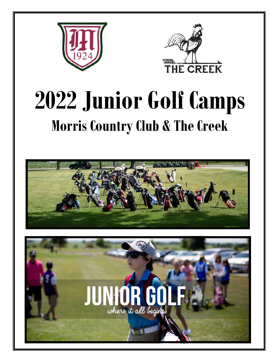



## **2022 Junior Golf Camps Morris Country Club & The Creek**



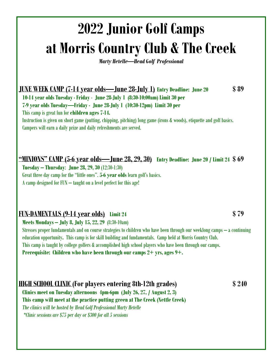## **2022 Junior Golf Camps at Morris Country Club & The Creek**

*Marty Hetelle—Head Golf Professional* 

**JUNE WEEK CAMP (7-14 year olds—June 28-July 1)(Entry Deadline: June 20 \$ 89 10-14 year olds Tuesday - Friday** - **June 28-July 1 (8:30-10:00am) Limit 30 per** 

**7-9 year olds Tuesday—Friday - June 28-July 1 (10:30-12pm) Limit 30 per**

This camp is great fun for **children ages 7-14.**

 Instruction is given on short game (putting, chipping, pitching) long game (irons & woods), etiquette and golf basics. Campers will earn a daily prize and daily refreshments are served.

**"MINIONS" CAMP (5-6 year olds—June 28, 29, 30) Entry Deadline: June 20 / Limit 24 \$ 69 Tuesday – Thursday**: **June 28, 29, 30** (12:30-1:30) Great three day camp for the "little ones". **5-6 year olds** learn golf's basics. A camp designed for FUN – taught on a level perfect for this age!

## **FUN-DAMENTALS (9-14 year olds) Limit 24 \$ 79 Meets Mondays – July 8, July 15, 22, 29** (8:30-10am)

 Stresses proper fundamentals and on course strategies to children who have been through our weeklong camps – a continuing education opportunity**.** This camp is for skill building and fundamentals. Camp held at Morris Country Club. This camp is taught by college golfers & accomplished high school players who have been through our camps. **Prerequisite: Children who have been through our camps 2+ yrs, ages 9+.** 

**HIGH SCHOOL CLINIC (For players entering 8th-12th grades) \$ 240 Clinics meet on Tuesday afternoons 4pm-6pm (July 26, 27, / August 2, 3)**

 **This camp will meet at the practice putting green at The Creek (Nettle Creek)**  *The clinics will be hosted by Head Golf Professional Marty Hetelle \*Clinic sessions are \$75 per day or \$300 for all 5 sessions*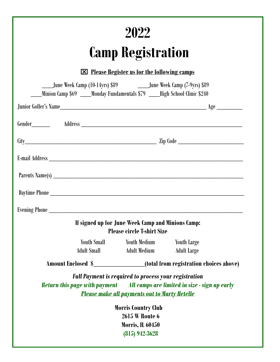|                                                                                                                                                           | 2022                                                                                                                 |                                               |  |
|-----------------------------------------------------------------------------------------------------------------------------------------------------------|----------------------------------------------------------------------------------------------------------------------|-----------------------------------------------|--|
|                                                                                                                                                           | <b>Camp Registration</b>                                                                                             |                                               |  |
|                                                                                                                                                           | $\boxtimes$ Please Register us for the following camps                                                               |                                               |  |
| _____June Week Camp (10-14yrs) \$89 ____________June Week Camp (7-9yrs) \$89<br>Minion Camp \$69 ____Monday Fundamentals \$79 ___High School Clinic \$240 |                                                                                                                      |                                               |  |
|                                                                                                                                                           |                                                                                                                      |                                               |  |
|                                                                                                                                                           |                                                                                                                      |                                               |  |
|                                                                                                                                                           |                                                                                                                      |                                               |  |
|                                                                                                                                                           |                                                                                                                      |                                               |  |
|                                                                                                                                                           |                                                                                                                      |                                               |  |
|                                                                                                                                                           |                                                                                                                      |                                               |  |
| Evening Phone                                                                                                                                             |                                                                                                                      |                                               |  |
|                                                                                                                                                           | If signed up for June Week Camp and Minions Camp:<br><b>Please circle T-shirt Size</b>                               |                                               |  |
| <b>Youth Small</b>                                                                                                                                        | <b>Youth Medium</b>                                                                                                  | <b>Youth Large</b>                            |  |
| <b>Adult Small</b>                                                                                                                                        | <b>Adult Medium</b>                                                                                                  | <b>Adult Large</b>                            |  |
| Amount Enclosed \$                                                                                                                                        |                                                                                                                      | (total from registration choices above)       |  |
| <b>Return this page with payment</b>                                                                                                                      | <b>Full Payment is required to process your registration</b><br><b>Please make all payments out to Marty Hetelle</b> | All camps are limited in size - sign up early |  |
|                                                                                                                                                           | <b>Morris Country Club</b>                                                                                           |                                               |  |
|                                                                                                                                                           | <b>2615 W Route 6</b>                                                                                                |                                               |  |
|                                                                                                                                                           | <b>Morris, IL 60450</b>                                                                                              |                                               |  |